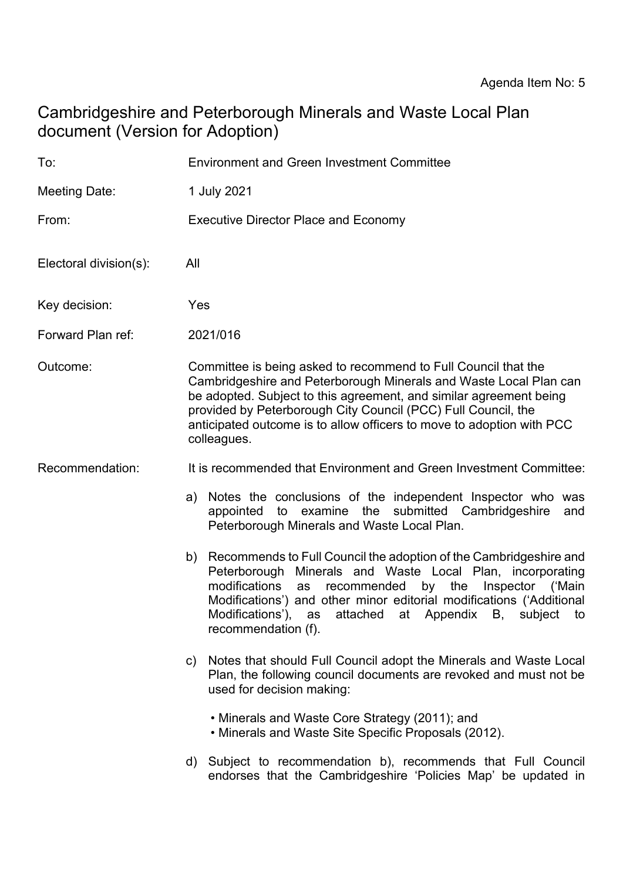# Cambridgeshire and Peterborough Minerals and Waste Local Plan document (Version for Adoption)

| To:                    | <b>Environment and Green Investment Committee</b>                                                                                                                                                                                                                                                                                                                                   |
|------------------------|-------------------------------------------------------------------------------------------------------------------------------------------------------------------------------------------------------------------------------------------------------------------------------------------------------------------------------------------------------------------------------------|
| Meeting Date:          | 1 July 2021                                                                                                                                                                                                                                                                                                                                                                         |
| From:                  | <b>Executive Director Place and Economy</b>                                                                                                                                                                                                                                                                                                                                         |
| Electoral division(s): | All                                                                                                                                                                                                                                                                                                                                                                                 |
| Key decision:          | Yes                                                                                                                                                                                                                                                                                                                                                                                 |
| Forward Plan ref:      | 2021/016                                                                                                                                                                                                                                                                                                                                                                            |
| Outcome:               | Committee is being asked to recommend to Full Council that the<br>Cambridgeshire and Peterborough Minerals and Waste Local Plan can<br>be adopted. Subject to this agreement, and similar agreement being<br>provided by Peterborough City Council (PCC) Full Council, the<br>anticipated outcome is to allow officers to move to adoption with PCC<br>colleagues.                  |
| Recommendation:        | It is recommended that Environment and Green Investment Committee:                                                                                                                                                                                                                                                                                                                  |
|                        | a) Notes the conclusions of the independent Inspector who was<br>appointed to examine the submitted Cambridgeshire<br>and<br>Peterborough Minerals and Waste Local Plan.                                                                                                                                                                                                            |
|                        | Recommends to Full Council the adoption of the Cambridgeshire and<br>b)<br>Peterborough Minerals and Waste Local Plan, incorporating<br>modifications<br>by the<br>recommended<br>Inspector ('Main<br>as<br>Modifications') and other minor editorial modifications ('Additional<br>Modifications'),<br>attached<br>at Appendix<br>subject<br>B,<br>as<br>to<br>recommendation (f). |
|                        | c) Notes that should Full Council adopt the Minerals and Waste Local<br>Plan, the following council documents are revoked and must not be<br>used for decision making:                                                                                                                                                                                                              |
|                        | • Minerals and Waste Core Strategy (2011); and<br>• Minerals and Waste Site Specific Proposals (2012).                                                                                                                                                                                                                                                                              |
|                        | d) Subject to recommendation b), recommends that Full Council<br>endorses that the Cambridgeshire 'Policies Map' be updated in                                                                                                                                                                                                                                                      |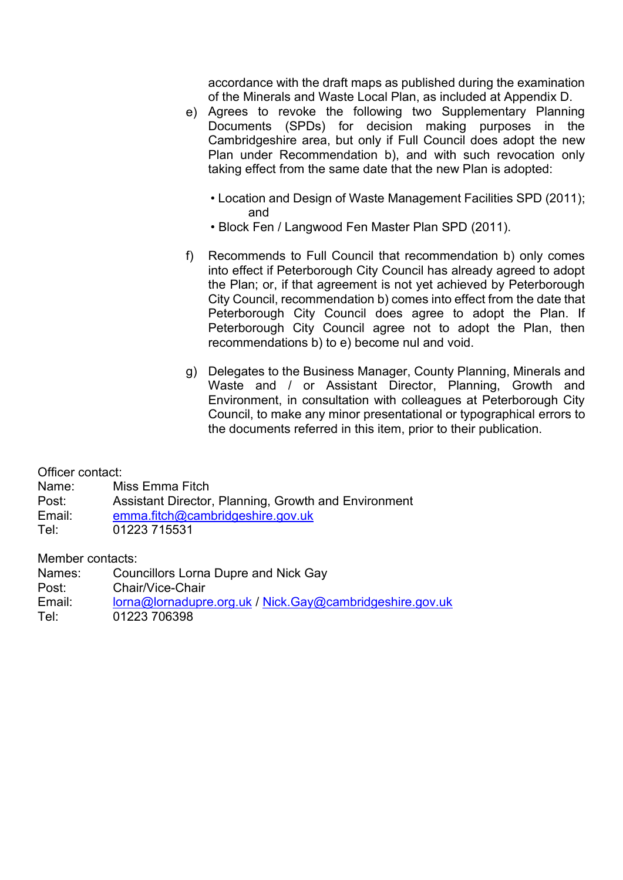accordance with the draft maps as published during the examination of the Minerals and Waste Local Plan, as included at Appendix D.

- e) Agrees to revoke the following two Supplementary Planning Documents (SPDs) for decision making purposes in the Cambridgeshire area, but only if Full Council does adopt the new Plan under Recommendation b), and with such revocation only taking effect from the same date that the new Plan is adopted:
	- Location and Design of Waste Management Facilities SPD (2011); and
	- Block Fen / Langwood Fen Master Plan SPD (2011).
- f) Recommends to Full Council that recommendation b) only comes into effect if Peterborough City Council has already agreed to adopt the Plan; or, if that agreement is not yet achieved by Peterborough City Council, recommendation b) comes into effect from the date that Peterborough City Council does agree to adopt the Plan. If Peterborough City Council agree not to adopt the Plan, then recommendations b) to e) become nul and void.
- g) Delegates to the Business Manager, County Planning, Minerals and Waste and / or Assistant Director, Planning, Growth and Environment, in consultation with colleagues at Peterborough City Council, to make any minor presentational or typographical errors to the documents referred in this item, prior to their publication.

Officer contact:

Name: Miss Emma Fitch

Post: Assistant Director, Planning, Growth and Environment

- Email: [emma.fitch@cambridgeshire.gov.uk](mailto:emma.fitch@cambridgeshire.gov.uk)
- Tel: 01223 715531

Member contacts:

Names: Councillors Lorna Dupre and Nick Gay Post: Chair/Vice-Chair Email: [lorna@lornadupre.org.uk](mailto:lorna@lornadupre.org.uk) / [Nick.Gay@cambridgeshire.gov.uk](mailto:Nick.Gay@cambridgeshire.gov.uk) Tel: 01223 706398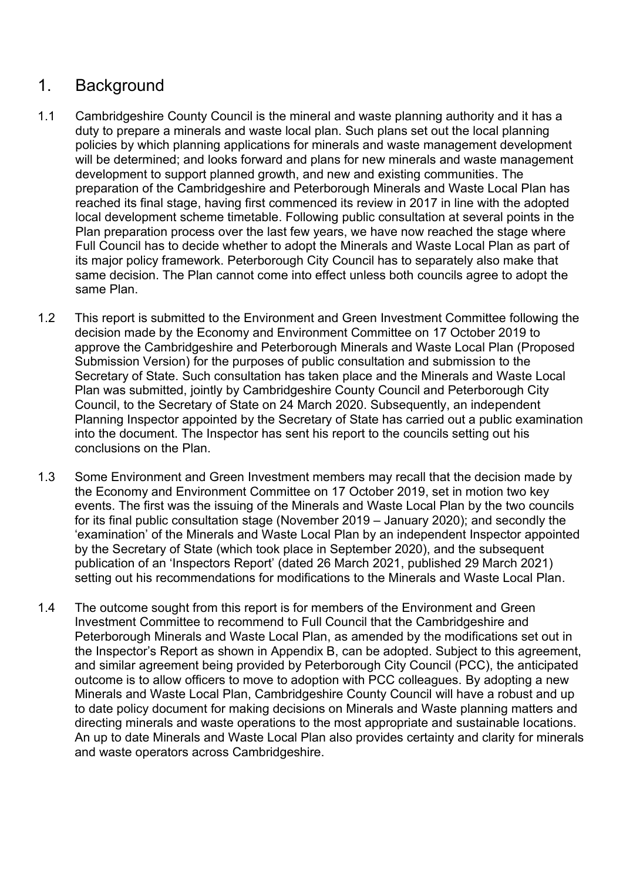## 1. Background

- 1.1 Cambridgeshire County Council is the mineral and waste planning authority and it has a duty to prepare a minerals and waste local plan. Such plans set out the local planning policies by which planning applications for minerals and waste management development will be determined; and looks forward and plans for new minerals and waste management development to support planned growth, and new and existing communities. The preparation of the Cambridgeshire and Peterborough Minerals and Waste Local Plan has reached its final stage, having first commenced its review in 2017 in line with the adopted local development scheme timetable. Following public consultation at several points in the Plan preparation process over the last few years, we have now reached the stage where Full Council has to decide whether to adopt the Minerals and Waste Local Plan as part of its major policy framework. Peterborough City Council has to separately also make that same decision. The Plan cannot come into effect unless both councils agree to adopt the same Plan.
- 1.2 This report is submitted to the Environment and Green Investment Committee following the decision made by the Economy and Environment Committee on 17 October 2019 to approve the Cambridgeshire and Peterborough Minerals and Waste Local Plan (Proposed Submission Version) for the purposes of public consultation and submission to the Secretary of State. Such consultation has taken place and the Minerals and Waste Local Plan was submitted, jointly by Cambridgeshire County Council and Peterborough City Council, to the Secretary of State on 24 March 2020. Subsequently, an independent Planning Inspector appointed by the Secretary of State has carried out a public examination into the document. The Inspector has sent his report to the councils setting out his conclusions on the Plan.
- 1.3 Some Environment and Green Investment members may recall that the decision made by the Economy and Environment Committee on 17 October 2019, set in motion two key events. The first was the issuing of the Minerals and Waste Local Plan by the two councils for its final public consultation stage (November 2019 – January 2020); and secondly the 'examination' of the Minerals and Waste Local Plan by an independent Inspector appointed by the Secretary of State (which took place in September 2020), and the subsequent publication of an 'Inspectors Report' (dated 26 March 2021, published 29 March 2021) setting out his recommendations for modifications to the Minerals and Waste Local Plan.
- 1.4 The outcome sought from this report is for members of the Environment and Green Investment Committee to recommend to Full Council that the Cambridgeshire and Peterborough Minerals and Waste Local Plan, as amended by the modifications set out in the Inspector's Report as shown in Appendix B, can be adopted. Subject to this agreement, and similar agreement being provided by Peterborough City Council (PCC), the anticipated outcome is to allow officers to move to adoption with PCC colleagues. By adopting a new Minerals and Waste Local Plan, Cambridgeshire County Council will have a robust and up to date policy document for making decisions on Minerals and Waste planning matters and directing minerals and waste operations to the most appropriate and sustainable locations. An up to date Minerals and Waste Local Plan also provides certainty and clarity for minerals and waste operators across Cambridgeshire.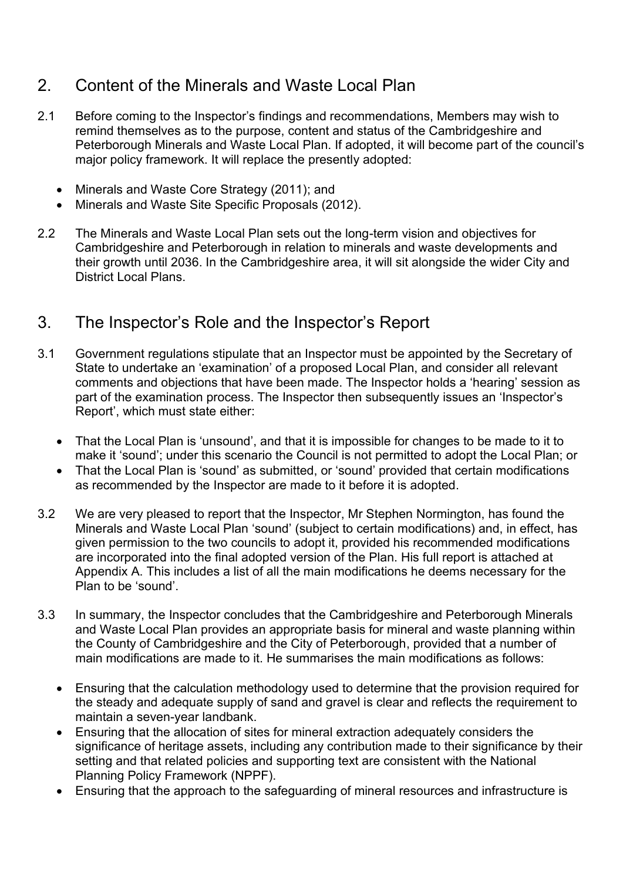# 2. Content of the Minerals and Waste Local Plan

- 2.1 Before coming to the Inspector's findings and recommendations, Members may wish to remind themselves as to the purpose, content and status of the Cambridgeshire and Peterborough Minerals and Waste Local Plan. If adopted, it will become part of the council's major policy framework. It will replace the presently adopted:
	- Minerals and Waste Core Strategy (2011); and
	- Minerals and Waste Site Specific Proposals (2012).
- 2.2 The Minerals and Waste Local Plan sets out the long-term vision and objectives for Cambridgeshire and Peterborough in relation to minerals and waste developments and their growth until 2036. In the Cambridgeshire area, it will sit alongside the wider City and District Local Plans.

## 3. The Inspector's Role and the Inspector's Report

- 3.1 Government regulations stipulate that an Inspector must be appointed by the Secretary of State to undertake an 'examination' of a proposed Local Plan, and consider all relevant comments and objections that have been made. The Inspector holds a 'hearing' session as part of the examination process. The Inspector then subsequently issues an 'Inspector's Report', which must state either:
	- That the Local Plan is 'unsound', and that it is impossible for changes to be made to it to make it 'sound'; under this scenario the Council is not permitted to adopt the Local Plan; or
	- That the Local Plan is 'sound' as submitted, or 'sound' provided that certain modifications as recommended by the Inspector are made to it before it is adopted.
- 3.2 We are very pleased to report that the Inspector, Mr Stephen Normington, has found the Minerals and Waste Local Plan 'sound' (subject to certain modifications) and, in effect, has given permission to the two councils to adopt it, provided his recommended modifications are incorporated into the final adopted version of the Plan. His full report is attached at Appendix A. This includes a list of all the main modifications he deems necessary for the Plan to be 'sound'.
- 3.3 In summary, the Inspector concludes that the Cambridgeshire and Peterborough Minerals and Waste Local Plan provides an appropriate basis for mineral and waste planning within the County of Cambridgeshire and the City of Peterborough, provided that a number of main modifications are made to it. He summarises the main modifications as follows:
	- Ensuring that the calculation methodology used to determine that the provision required for the steady and adequate supply of sand and gravel is clear and reflects the requirement to maintain a seven-year landbank.
	- Ensuring that the allocation of sites for mineral extraction adequately considers the significance of heritage assets, including any contribution made to their significance by their setting and that related policies and supporting text are consistent with the National Planning Policy Framework (NPPF).
	- Ensuring that the approach to the safeguarding of mineral resources and infrastructure is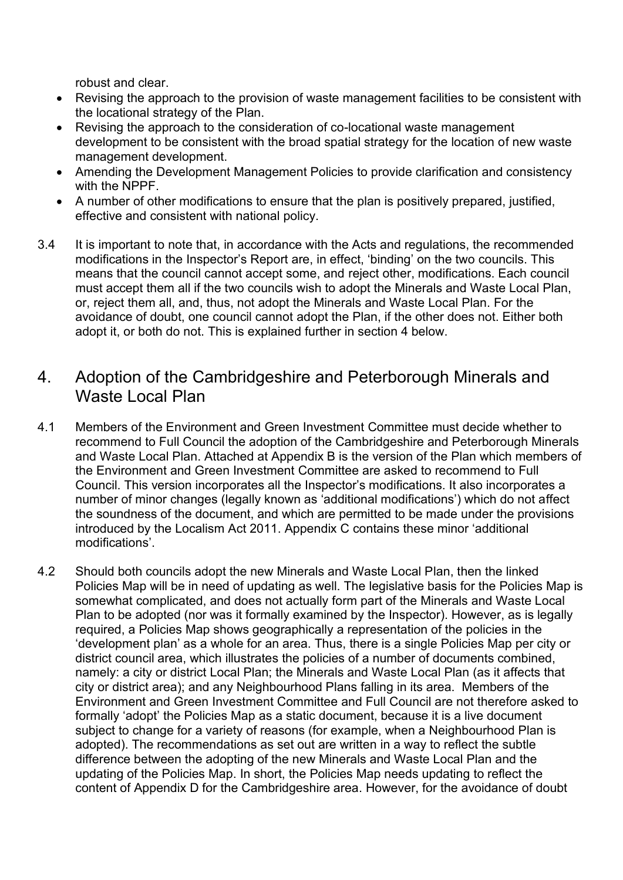robust and clear.

- Revising the approach to the provision of waste management facilities to be consistent with the locational strategy of the Plan.
- Revising the approach to the consideration of co-locational waste management development to be consistent with the broad spatial strategy for the location of new waste management development.
- Amending the Development Management Policies to provide clarification and consistency with the NPPF.
- A number of other modifications to ensure that the plan is positively prepared, justified, effective and consistent with national policy.
- 3.4 It is important to note that, in accordance with the Acts and regulations, the recommended modifications in the Inspector's Report are, in effect, 'binding' on the two councils. This means that the council cannot accept some, and reject other, modifications. Each council must accept them all if the two councils wish to adopt the Minerals and Waste Local Plan, or, reject them all, and, thus, not adopt the Minerals and Waste Local Plan. For the avoidance of doubt, one council cannot adopt the Plan, if the other does not. Either both adopt it, or both do not. This is explained further in section 4 below.

### 4. Adoption of the Cambridgeshire and Peterborough Minerals and Waste Local Plan

- 4.1 Members of the Environment and Green Investment Committee must decide whether to recommend to Full Council the adoption of the Cambridgeshire and Peterborough Minerals and Waste Local Plan. Attached at Appendix B is the version of the Plan which members of the Environment and Green Investment Committee are asked to recommend to Full Council. This version incorporates all the Inspector's modifications. It also incorporates a number of minor changes (legally known as 'additional modifications') which do not affect the soundness of the document, and which are permitted to be made under the provisions introduced by the Localism Act 2011. Appendix C contains these minor 'additional modifications'.
- 4.2 Should both councils adopt the new Minerals and Waste Local Plan, then the linked Policies Map will be in need of updating as well. The legislative basis for the Policies Map is somewhat complicated, and does not actually form part of the Minerals and Waste Local Plan to be adopted (nor was it formally examined by the Inspector). However, as is legally required, a Policies Map shows geographically a representation of the policies in the 'development plan' as a whole for an area. Thus, there is a single Policies Map per city or district council area, which illustrates the policies of a number of documents combined, namely: a city or district Local Plan; the Minerals and Waste Local Plan (as it affects that city or district area); and any Neighbourhood Plans falling in its area. Members of the Environment and Green Investment Committee and Full Council are not therefore asked to formally 'adopt' the Policies Map as a static document, because it is a live document subject to change for a variety of reasons (for example, when a Neighbourhood Plan is adopted). The recommendations as set out are written in a way to reflect the subtle difference between the adopting of the new Minerals and Waste Local Plan and the updating of the Policies Map. In short, the Policies Map needs updating to reflect the content of Appendix D for the Cambridgeshire area. However, for the avoidance of doubt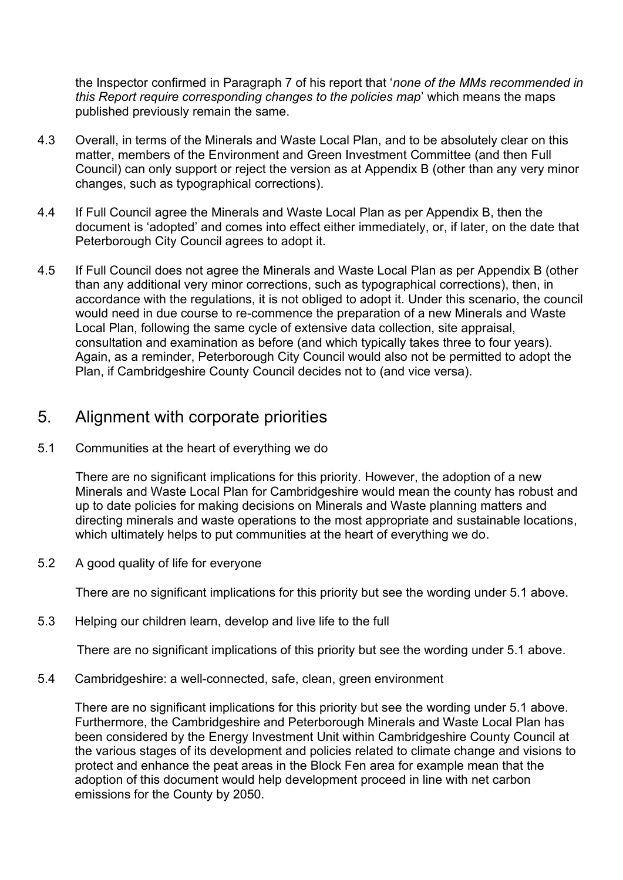the Inspector confirmed in Paragraph 7 of his report that '*none of the MMs recommended in this Report require corresponding changes to the policies map*' which means the maps published previously remain the same.

- 4.3 Overall, in terms of the Minerals and Waste Local Plan, and to be absolutely clear on this matter, members of the Environment and Green Investment Committee (and then Full Council) can only support or reject the version as at Appendix B (other than any very minor changes, such as typographical corrections).
- 4.4 If Full Council agree the Minerals and Waste Local Plan as per Appendix B, then the document is 'adopted' and comes into effect either immediately, or, if later, on the date that Peterborough City Council agrees to adopt it.
- 4.5 If Full Council does not agree the Minerals and Waste Local Plan as per Appendix B (other than any additional very minor corrections, such as typographical corrections), then, in accordance with the regulations, it is not obliged to adopt it. Under this scenario, the council would need in due course to re-commence the preparation of a new Minerals and Waste Local Plan, following the same cycle of extensive data collection, site appraisal, consultation and examination as before (and which typically takes three to four years). Again, as a reminder, Peterborough City Council would also not be permitted to adopt the Plan, if Cambridgeshire County Council decides not to (and vice versa).

### 5. Alignment with corporate priorities

5.1 Communities at the heart of everything we do

There are no significant implications for this priority. However, the adoption of a new Minerals and Waste Local Plan for Cambridgeshire would mean the county has robust and up to date policies for making decisions on Minerals and Waste planning matters and directing minerals and waste operations to the most appropriate and sustainable locations, which ultimately helps to put communities at the heart of everything we do.

5.2 A good quality of life for everyone

There are no significant implications for this priority but see the wording under 5.1 above.

5.3 Helping our children learn, develop and live life to the full

There are no significant implications of this priority but see the wording under 5.1 above.

5.4 Cambridgeshire: a well-connected, safe, clean, green environment

There are no significant implications for this priority but see the wording under 5.1 above. Furthermore, the Cambridgeshire and Peterborough Minerals and Waste Local Plan has been considered by the Energy Investment Unit within Cambridgeshire County Council at the various stages of its development and policies related to climate change and visions to protect and enhance the peat areas in the Block Fen area for example mean that the adoption of this document would help development proceed in line with net carbon emissions for the County by 2050.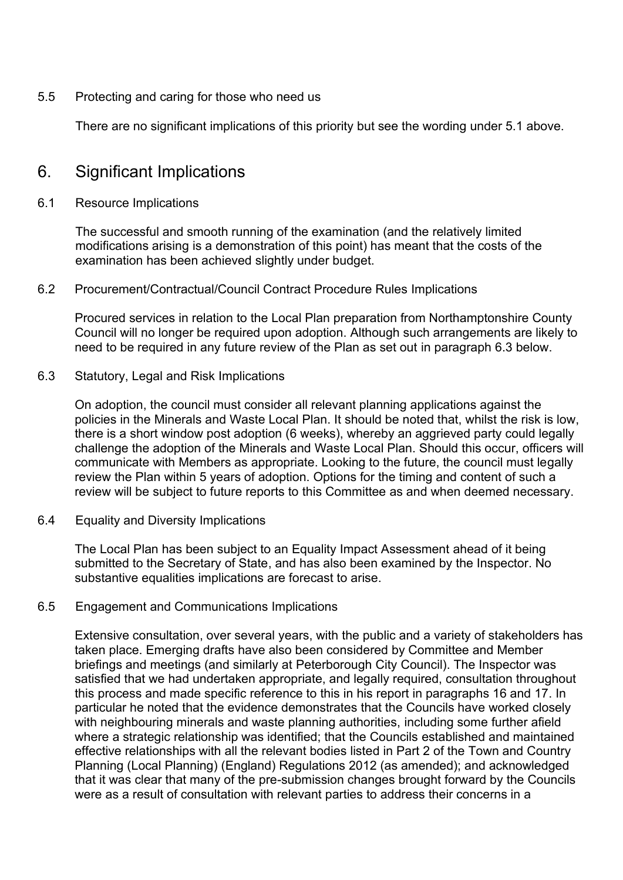5.5 Protecting and caring for those who need us

There are no significant implications of this priority but see the wording under 5.1 above.

### 6. Significant Implications

#### 6.1 Resource Implications

The successful and smooth running of the examination (and the relatively limited modifications arising is a demonstration of this point) has meant that the costs of the examination has been achieved slightly under budget.

#### 6.2 Procurement/Contractual/Council Contract Procedure Rules Implications

Procured services in relation to the Local Plan preparation from Northamptonshire County Council will no longer be required upon adoption. Although such arrangements are likely to need to be required in any future review of the Plan as set out in paragraph 6.3 below.

#### 6.3 Statutory, Legal and Risk Implications

On adoption, the council must consider all relevant planning applications against the policies in the Minerals and Waste Local Plan. It should be noted that, whilst the risk is low, there is a short window post adoption (6 weeks), whereby an aggrieved party could legally challenge the adoption of the Minerals and Waste Local Plan. Should this occur, officers will communicate with Members as appropriate. Looking to the future, the council must legally review the Plan within 5 years of adoption. Options for the timing and content of such a review will be subject to future reports to this Committee as and when deemed necessary.

6.4 Equality and Diversity Implications

The Local Plan has been subject to an Equality Impact Assessment ahead of it being submitted to the Secretary of State, and has also been examined by the Inspector. No substantive equalities implications are forecast to arise.

#### 6.5 Engagement and Communications Implications

Extensive consultation, over several years, with the public and a variety of stakeholders has taken place. Emerging drafts have also been considered by Committee and Member briefings and meetings (and similarly at Peterborough City Council). The Inspector was satisfied that we had undertaken appropriate, and legally required, consultation throughout this process and made specific reference to this in his report in paragraphs 16 and 17. In particular he noted that the evidence demonstrates that the Councils have worked closely with neighbouring minerals and waste planning authorities, including some further afield where a strategic relationship was identified; that the Councils established and maintained effective relationships with all the relevant bodies listed in Part 2 of the Town and Country Planning (Local Planning) (England) Regulations 2012 (as amended); and acknowledged that it was clear that many of the pre-submission changes brought forward by the Councils were as a result of consultation with relevant parties to address their concerns in a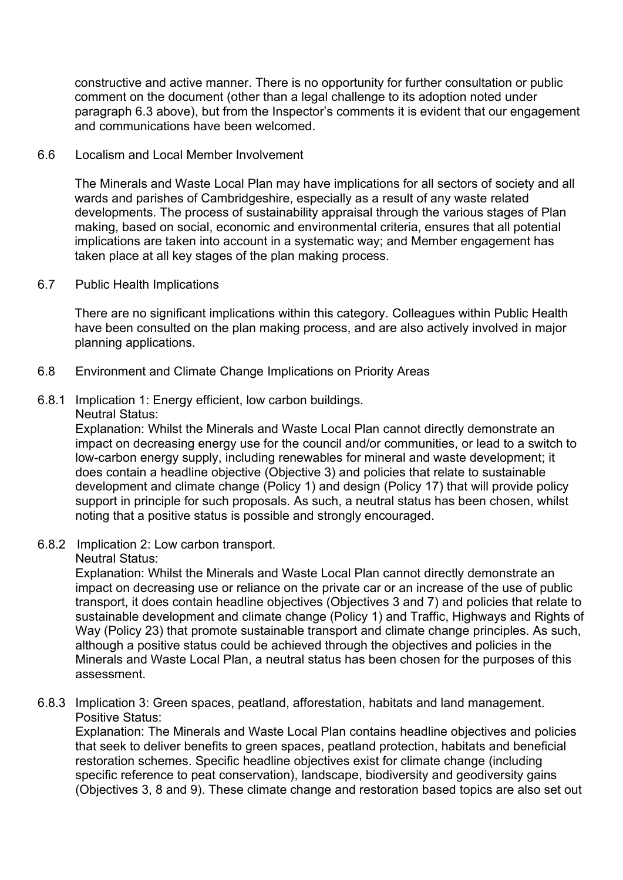constructive and active manner. There is no opportunity for further consultation or public comment on the document (other than a legal challenge to its adoption noted under paragraph 6.3 above), but from the Inspector's comments it is evident that our engagement and communications have been welcomed.

#### 6.6 Localism and Local Member Involvement

The Minerals and Waste Local Plan may have implications for all sectors of society and all wards and parishes of Cambridgeshire, especially as a result of any waste related developments. The process of sustainability appraisal through the various stages of Plan making, based on social, economic and environmental criteria, ensures that all potential implications are taken into account in a systematic way; and Member engagement has taken place at all key stages of the plan making process.

#### 6.7 Public Health Implications

There are no significant implications within this category. Colleagues within Public Health have been consulted on the plan making process, and are also actively involved in major planning applications.

- 6.8 Environment and Climate Change Implications on Priority Areas
- 6.8.1 Implication 1: Energy efficient, low carbon buildings.
	- Neutral Status:

Explanation: Whilst the Minerals and Waste Local Plan cannot directly demonstrate an impact on decreasing energy use for the council and/or communities, or lead to a switch to low-carbon energy supply, including renewables for mineral and waste development; it does contain a headline objective (Objective 3) and policies that relate to sustainable development and climate change (Policy 1) and design (Policy 17) that will provide policy support in principle for such proposals. As such, a neutral status has been chosen, whilst noting that a positive status is possible and strongly encouraged.

6.8.2 Implication 2: Low carbon transport.

#### Neutral Status:

Explanation: Whilst the Minerals and Waste Local Plan cannot directly demonstrate an impact on decreasing use or reliance on the private car or an increase of the use of public transport, it does contain headline objectives (Objectives 3 and 7) and policies that relate to sustainable development and climate change (Policy 1) and Traffic, Highways and Rights of Way (Policy 23) that promote sustainable transport and climate change principles. As such, although a positive status could be achieved through the objectives and policies in the Minerals and Waste Local Plan, a neutral status has been chosen for the purposes of this assessment.

6.8.3 Implication 3: Green spaces, peatland, afforestation, habitats and land management. Positive Status:

Explanation: The Minerals and Waste Local Plan contains headline objectives and policies that seek to deliver benefits to green spaces, peatland protection, habitats and beneficial restoration schemes. Specific headline objectives exist for climate change (including specific reference to peat conservation), landscape, biodiversity and geodiversity gains (Objectives 3, 8 and 9). These climate change and restoration based topics are also set out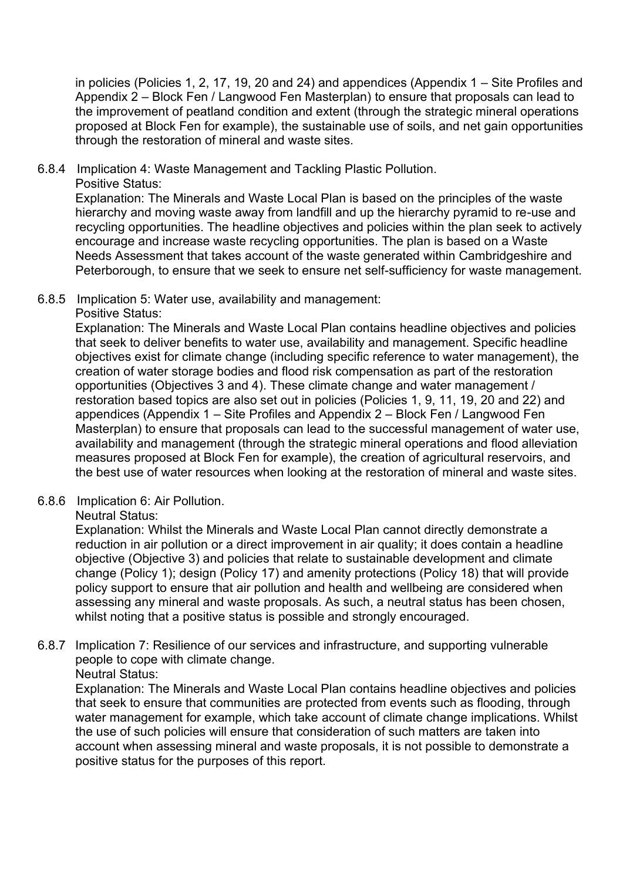in policies (Policies 1, 2, 17, 19, 20 and 24) and appendices (Appendix 1 – Site Profiles and Appendix 2 – Block Fen / Langwood Fen Masterplan) to ensure that proposals can lead to the improvement of peatland condition and extent (through the strategic mineral operations proposed at Block Fen for example), the sustainable use of soils, and net gain opportunities through the restoration of mineral and waste sites.

6.8.4 Implication 4: Waste Management and Tackling Plastic Pollution.

Positive Status:

Explanation: The Minerals and Waste Local Plan is based on the principles of the waste hierarchy and moving waste away from landfill and up the hierarchy pyramid to re-use and recycling opportunities. The headline objectives and policies within the plan seek to actively encourage and increase waste recycling opportunities. The plan is based on a Waste Needs Assessment that takes account of the waste generated within Cambridgeshire and Peterborough, to ensure that we seek to ensure net self-sufficiency for waste management.

6.8.5 Implication 5: Water use, availability and management:

Positive Status:

Explanation: The Minerals and Waste Local Plan contains headline objectives and policies that seek to deliver benefits to water use, availability and management. Specific headline objectives exist for climate change (including specific reference to water management), the creation of water storage bodies and flood risk compensation as part of the restoration opportunities (Objectives 3 and 4). These climate change and water management / restoration based topics are also set out in policies (Policies 1, 9, 11, 19, 20 and 22) and appendices (Appendix 1 – Site Profiles and Appendix 2 – Block Fen / Langwood Fen Masterplan) to ensure that proposals can lead to the successful management of water use, availability and management (through the strategic mineral operations and flood alleviation measures proposed at Block Fen for example), the creation of agricultural reservoirs, and the best use of water resources when looking at the restoration of mineral and waste sites.

6.8.6 Implication 6: Air Pollution.

Neutral Status:

Explanation: Whilst the Minerals and Waste Local Plan cannot directly demonstrate a reduction in air pollution or a direct improvement in air quality; it does contain a headline objective (Objective 3) and policies that relate to sustainable development and climate change (Policy 1); design (Policy 17) and amenity protections (Policy 18) that will provide policy support to ensure that air pollution and health and wellbeing are considered when assessing any mineral and waste proposals. As such, a neutral status has been chosen, whilst noting that a positive status is possible and strongly encouraged.

6.8.7 Implication 7: Resilience of our services and infrastructure, and supporting vulnerable people to cope with climate change.

Neutral Status:

Explanation: The Minerals and Waste Local Plan contains headline objectives and policies that seek to ensure that communities are protected from events such as flooding, through water management for example, which take account of climate change implications. Whilst the use of such policies will ensure that consideration of such matters are taken into account when assessing mineral and waste proposals, it is not possible to demonstrate a positive status for the purposes of this report.